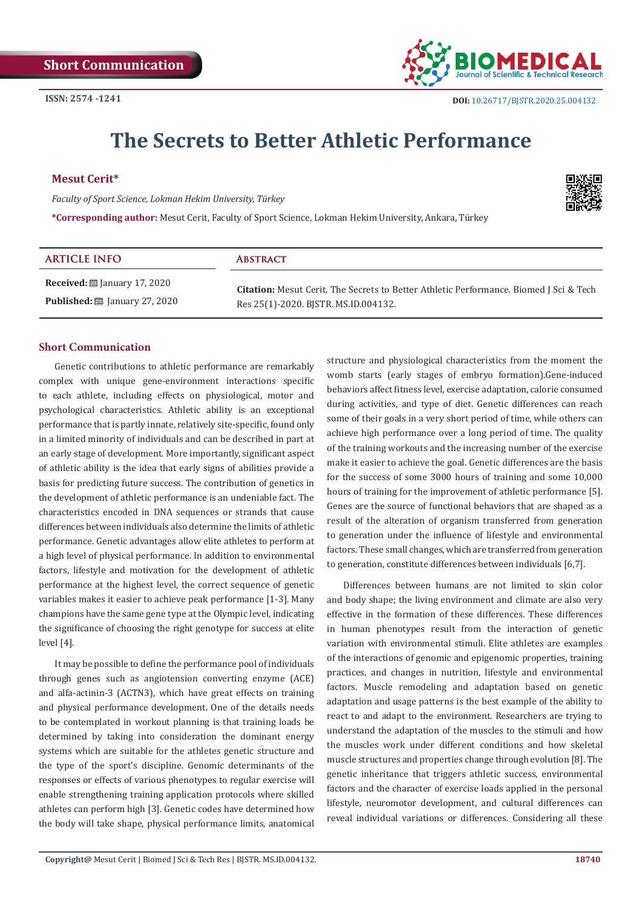

# **The Secrets to Better Athletic Performance**

# **Mesut Cerit\***

*Faculty of Sport Science, Lokman Hekim University, Türkey*

**\*Corresponding author:** Mesut Cerit, Faculty of Sport Science, Lokman Hekim University, Ankara, Türkey

| ٠ |
|---|
|   |

| <b>ARTICLE INFO</b>                                       | <b>ABSTRACT</b>                                                                                                                       |
|-----------------------------------------------------------|---------------------------------------------------------------------------------------------------------------------------------------|
| <b>Received:</b> $\mathbf{\mathfrak{m}}$ January 17, 2020 | <b>Citation:</b> Mesut Cerit. The Secrets to Better Athletic Performance. Biomed J Sci & Tech<br>Res 25(1)-2020. BISTR. MS.ID.004132. |
| <b>Published:</b> [201] January 27, 2020                  |                                                                                                                                       |

# **Short Communication**

Genetic contributions to athletic performance are remarkably complex with unique gene-environment interactions specific to each athlete, including effects on physiological, motor and psychological characteristics. Athletic ability is an exceptional performance that is partly innate, relatively site-specific, found only in a limited minority of individuals and can be described in part at an early stage of development. More importantly, significant aspect of athletic ability is the idea that early signs of abilities provide a basis for predicting future success. The contribution of genetics in the development of athletic performance is an undeniable fact. The characteristics encoded in DNA sequences or strands that cause differences between individuals also determine the limits of athletic performance. Genetic advantages allow elite athletes to perform at a high level of physical performance. In addition to environmental factors, lifestyle and motivation for the development of athletic performance at the highest level, the correct sequence of genetic variables makes it easier to achieve peak performance [1-3]. Many champions have the same gene type at the Olympic level, indicating the significance of choosing the right genotype for success at elite level [4].

It may be possible to define the performance pool of individuals through genes such as angiotension converting enzyme (ACE) and alfa-actinin-3 (ACTN3), which have great effects on training and physical performance development. One of the details needs to be contemplated in workout planning is that training loads be determined by taking into consideration the dominant energy systems which are suitable for the athletes genetic structure and the type of the sport's discipline. Genomic determinants of the responses or effects of various phenotypes to regular exercise will enable strengthening training application protocols where skilled athletes can perform high [3]. Genetic codes have determined how the body will take shape, physical performance limits, anatomical

structure and physiological characteristics from the moment the womb starts (early stages of embryo formation).Gene-induced behaviors affect fitness level, exercise adaptation, calorie consumed during activities, and type of diet. Genetic differences can reach some of their goals in a very short period of time, while others can achieve high performance over a long period of time. The quality of the training workouts and the increasing number of the exercise make it easier to achieve the goal. Genetic differences are the basis for the success of some 3000 hours of training and some 10,000 hours of training for the improvement of athletic performance [5]. Genes are the source of functional behaviors that are shaped as a result of the alteration of organism transferred from generation to generation under the influence of lifestyle and environmental factors. These small changes, which are transferred from generation to generation, constitute differences between individuals [6,7].

Differences between humans are not limited to skin color and body shape; the living environment and climate are also very effective in the formation of these differences. These differences in human phenotypes result from the interaction of genetic variation with environmental stimuli. Elite athletes are examples of the interactions of genomic and epigenomic properties, training practices, and changes in nutrition, lifestyle and environmental factors. Muscle remodeling and adaptation based on genetic adaptation and usage patterns is the best example of the ability to react to and adapt to the environment. Researchers are trying to understand the adaptation of the muscles to the stimuli and how the muscles work under different conditions and how skeletal muscle structures and properties change through evolution [8]. The genetic inheritance that triggers athletic success, environmental factors and the character of exercise loads applied in the personal lifestyle, neuromotor development, and cultural differences can reveal individual variations or differences. Considering all these